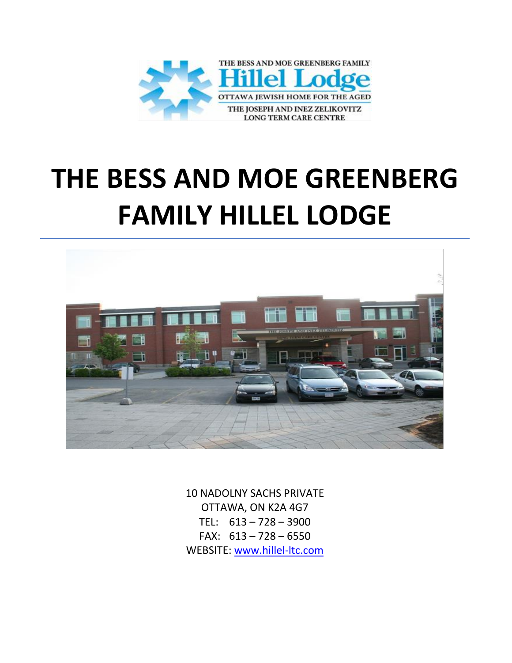

# **THE BESS AND MOE GREENBERG FAMILY HILLEL LODGE**



10 NADOLNY SACHS PRIVATE OTTAWA, ON K2A 4G7 TEL: 613 – 728 – 3900 FAX: 613 – 728 – 6550 WEBSITE: [www.hillel-ltc.com](http://www.hillel-ltc.com/)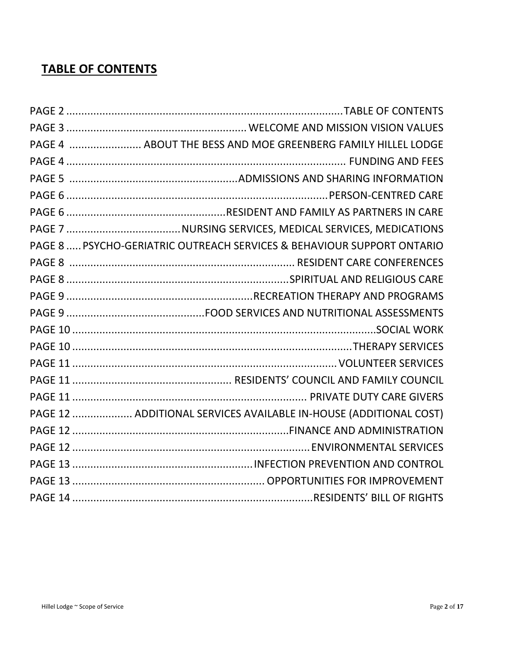# **TABLE OF CONTENTS**

| PAGE 4  ABOUT THE BESS AND MOE GREENBERG FAMILY HILLEL LODGE           |
|------------------------------------------------------------------------|
|                                                                        |
|                                                                        |
|                                                                        |
|                                                                        |
|                                                                        |
| PAGE 8  PSYCHO-GERIATRIC OUTREACH SERVICES & BEHAVIOUR SUPPORT ONTARIO |
|                                                                        |
|                                                                        |
|                                                                        |
|                                                                        |
|                                                                        |
|                                                                        |
|                                                                        |
|                                                                        |
|                                                                        |
| PAGE 12  ADDITIONAL SERVICES AVAILABLE IN-HOUSE (ADDITIONAL COST)      |
|                                                                        |
|                                                                        |
|                                                                        |
|                                                                        |
|                                                                        |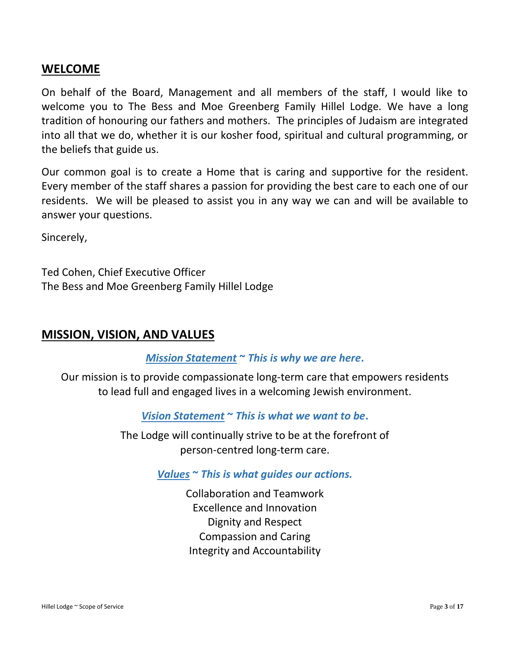#### **WELCOME**

On behalf of the Board, Management and all members of the staff, I would like to welcome you to The Bess and Moe Greenberg Family Hillel Lodge. We have a long tradition of honouring our fathers and mothers. The principles of Judaism are integrated into all that we do, whether it is our kosher food, spiritual and cultural programming, or the beliefs that guide us.

Our common goal is to create a Home that is caring and supportive for the resident. Every member of the staff shares a passion for providing the best care to each one of our residents. We will be pleased to assist you in any way we can and will be available to answer your questions.

Sincerely,

Ted Cohen, Chief Executive Officer The Bess and Moe Greenberg Family Hillel Lodge

#### **MISSION, VISION, AND VALUES**

#### *Mission Statement* **~** *This is why we are here***.**

Our mission is to provide compassionate long-term care that empowers residents to lead full and engaged lives in a welcoming Jewish environment.

*Vision Statement* **~** *This is what we want to be***.**

The Lodge will continually strive to be at the forefront of person-centred long-term care.

#### *Values* **~** *This is what guides our actions.*

Collaboration and Teamwork Excellence and Innovation Dignity and Respect Compassion and Caring Integrity and Accountability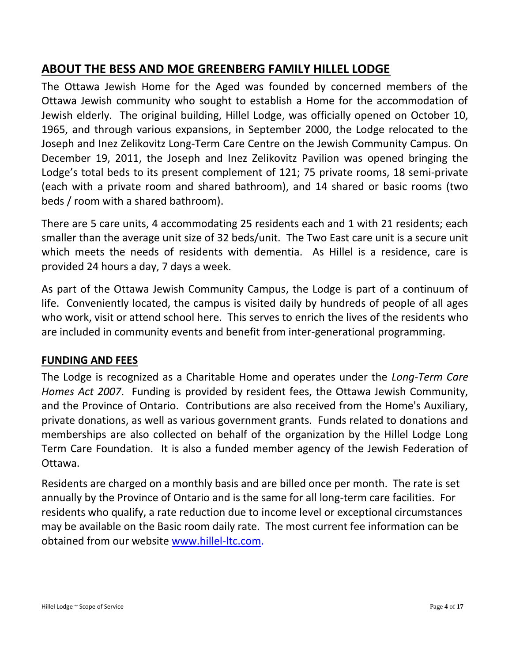# **ABOUT THE BESS AND MOE GREENBERG FAMILY HILLEL LODGE**

The Ottawa Jewish Home for the Aged was founded by concerned members of the Ottawa Jewish community who sought to establish a Home for the accommodation of Jewish elderly. The original building, Hillel Lodge, was officially opened on October 10, 1965, and through various expansions, in September 2000, the Lodge relocated to the Joseph and Inez Zelikovitz Long-Term Care Centre on the Jewish Community Campus. On December 19, 2011, the Joseph and Inez Zelikovitz Pavilion was opened bringing the Lodge's total beds to its present complement of 121; 75 private rooms, 18 semi-private (each with a private room and shared bathroom), and 14 shared or basic rooms (two beds / room with a shared bathroom).

There are 5 care units, 4 accommodating 25 residents each and 1 with 21 residents; each smaller than the average unit size of 32 beds/unit. The Two East care unit is a secure unit which meets the needs of residents with dementia. As Hillel is a residence, care is provided 24 hours a day, 7 days a week.

As part of the Ottawa Jewish Community Campus, the Lodge is part of a continuum of life. Conveniently located, the campus is visited daily by hundreds of people of all ages who work, visit or attend school here. This serves to enrich the lives of the residents who are included in community events and benefit from inter-generational programming.

#### **FUNDING AND FEES**

The Lodge is recognized as a Charitable Home and operates under the *Long-Term Care Homes Act 2007*. Funding is provided by resident fees, the Ottawa Jewish Community, and the Province of Ontario. Contributions are also received from the Home's Auxiliary, private donations, as well as various government grants. Funds related to donations and memberships are also collected on behalf of the organization by the Hillel Lodge Long Term Care Foundation. It is also a funded member agency of the Jewish Federation of Ottawa.

Residents are charged on a monthly basis and are billed once per month. The rate is set annually by the Province of Ontario and is the same for all long-term care facilities. For residents who qualify, a rate reduction due to income level or exceptional circumstances may be available on the Basic room daily rate. The most current fee information can be obtained from our website [www.hillel-ltc.com.](http://www.hillel-ltc.com/)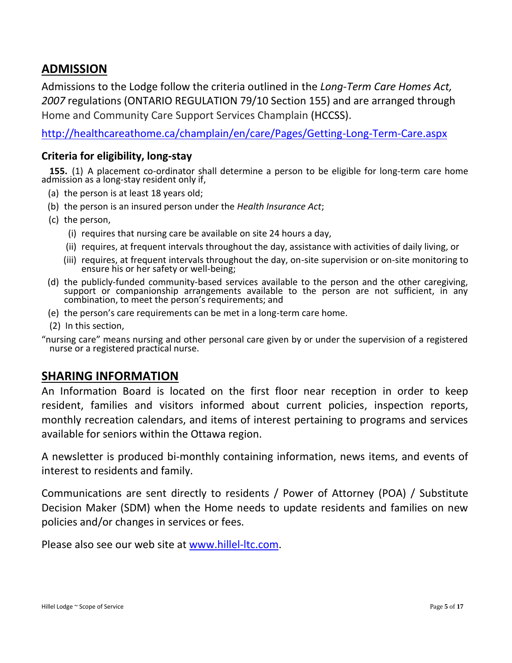## **ADMISSION**

Admissions to the Lodge follow the criteria outlined in the *Long-Term Care Homes Act, 2007* regulations (ONTARIO REGULATION 79/10 Section 155) and are arranged through Home and Community Care Support Services Champlain (HCCSS).

<http://healthcareathome.ca/champlain/en/care/Pages/Getting-Long-Term-Care.aspx>

#### **Criteria for eligibility, long-stay**

**155.** (1) A placement co-ordinator shall determine a person to be eligible for long-term care home admission as a long-stay resident only if,

- (a) the person is at least 18 years old;
- (b) the person is an insured person under the *Health Insurance Act*;
- (c) the person,
	- (i) requires that nursing care be available on site 24 hours a day,
	- (ii) requires, at frequent intervals throughout the day, assistance with activities of daily living, or
	- (iii) requires, at frequent intervals throughout the day, on-site supervision or on-site monitoring to ensure his or her safety or well-being;
- (d) the publicly-funded community-based services available to the person and the other caregiving, support or companionship arrangements available to the person are not sufficient, in any combination, to meet the person's requirements; and
- (e) the person's care requirements can be met in a long-term care home.
- (2) In this section,

"nursing care" means nursing and other personal care given by or under the supervision of a registered nurse or a registered practical nurse.

#### **SHARING INFORMATION**

An Information Board is located on the first floor near reception in order to keep resident, families and visitors informed about current policies, inspection reports, monthly recreation calendars, and items of interest pertaining to programs and services available for seniors within the Ottawa region.

A newsletter is produced bi-monthly containing information, news items, and events of interest to residents and family.

Communications are sent directly to residents / Power of Attorney (POA) / Substitute Decision Maker (SDM) when the Home needs to update residents and families on new policies and/or changes in services or fees.

Please also see our web site at [www.hillel-ltc.com.](http://www.hillel-ltc.com/)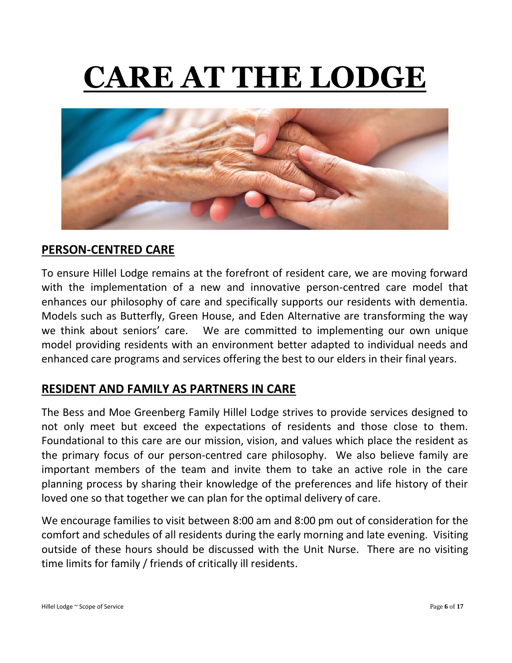# **CARE AT THE LODGE**



# **PERSON-CENTRED CARE**

To ensure Hillel Lodge remains at the forefront of resident care, we are moving forward with the implementation of a new and innovative person-centred care model that enhances our philosophy of care and specifically supports our residents with dementia. Models such as Butterfly, Green House, and Eden Alternative are transforming the way we think about seniors' care. We are committed to implementing our own unique model providing residents with an environment better adapted to individual needs and enhanced care programs and services offering the best to our elders in their final years.

## **RESIDENT AND FAMILY AS PARTNERS IN CARE**

The Bess and Moe Greenberg Family Hillel Lodge strives to provide services designed to not only meet but exceed the expectations of residents and those close to them. Foundational to this care are our mission, vision, and values which place the resident as the primary focus of our person-centred care philosophy. We also believe family are important members of the team and invite them to take an active role in the care planning process by sharing their knowledge of the preferences and life history of their loved one so that together we can plan for the optimal delivery of care.

We encourage families to visit between 8:00 am and 8:00 pm out of consideration for the comfort and schedules of all residents during the early morning and late evening. Visiting outside of these hours should be discussed with the Unit Nurse. There are no visiting time limits for family / friends of critically ill residents.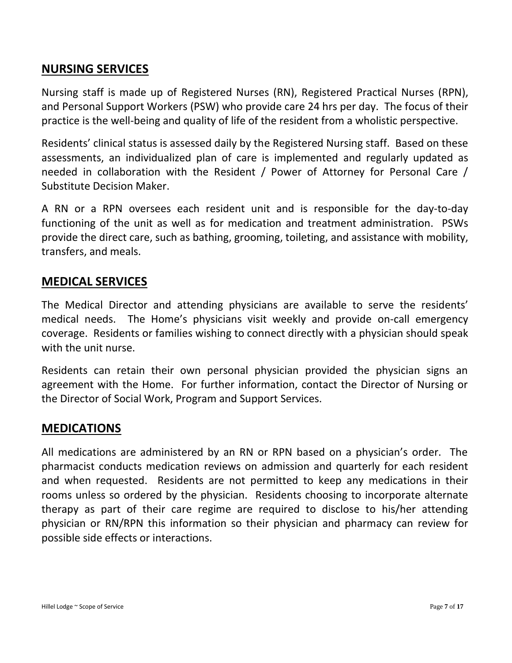## **NURSING SERVICES**

Nursing staff is made up of Registered Nurses (RN), Registered Practical Nurses (RPN), and Personal Support Workers (PSW) who provide care 24 hrs per day. The focus of their practice is the well-being and quality of life of the resident from a wholistic perspective.

Residents' clinical status is assessed daily by the Registered Nursing staff. Based on these assessments, an individualized plan of care is implemented and regularly updated as needed in collaboration with the Resident / Power of Attorney for Personal Care / Substitute Decision Maker.

A RN or a RPN oversees each resident unit and is responsible for the day-to-day functioning of the unit as well as for medication and treatment administration. PSWs provide the direct care, such as bathing, grooming, toileting, and assistance with mobility, transfers, and meals.

#### **MEDICAL SERVICES**

The Medical Director and attending physicians are available to serve the residents' medical needs. The Home's physicians visit weekly and provide on-call emergency coverage. Residents or families wishing to connect directly with a physician should speak with the unit nurse.

Residents can retain their own personal physician provided the physician signs an agreement with the Home. For further information, contact the Director of Nursing or the Director of Social Work, Program and Support Services.

#### **MEDICATIONS**

All medications are administered by an RN or RPN based on a physician's order. The pharmacist conducts medication reviews on admission and quarterly for each resident and when requested. Residents are not permitted to keep any medications in their rooms unless so ordered by the physician. Residents choosing to incorporate alternate therapy as part of their care regime are required to disclose to his/her attending physician or RN/RPN this information so their physician and pharmacy can review for possible side effects or interactions.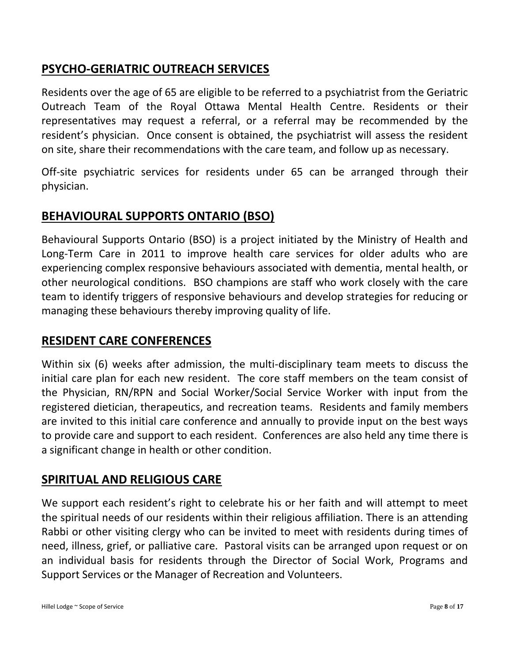# **PSYCHO-GERIATRIC OUTREACH SERVICES**

Residents over the age of 65 are eligible to be referred to a psychiatrist from the Geriatric Outreach Team of the Royal Ottawa Mental Health Centre. Residents or their representatives may request a referral, or a referral may be recommended by the resident's physician. Once consent is obtained, the psychiatrist will assess the resident on site, share their recommendations with the care team, and follow up as necessary.

Off-site psychiatric services for residents under 65 can be arranged through their physician.

# **BEHAVIOURAL SUPPORTS ONTARIO (BSO)**

Behavioural Supports Ontario (BSO) is a project initiated by the Ministry of Health and Long-Term Care in 2011 to improve health care services for older adults who are experiencing complex responsive behaviours associated with dementia, mental health, or other neurological conditions.BSO champions are staff who work closely with the care team to identify triggers of responsive behaviours and develop strategies for reducing or managing these behaviours thereby improving quality of life.

## **RESIDENT CARE CONFERENCES**

Within six (6) weeks after admission, the multi-disciplinary team meets to discuss the initial care plan for each new resident. The core staff members on the team consist of the Physician, RN/RPN and Social Worker/Social Service Worker with input from the registered dietician, therapeutics, and recreation teams. Residents and family members are invited to this initial care conference and annually to provide input on the best ways to provide care and support to each resident. Conferences are also held any time there is a significant change in health or other condition.

#### **SPIRITUAL AND RELIGIOUS CARE**

We support each resident's right to celebrate his or her faith and will attempt to meet the spiritual needs of our residents within their religious affiliation. There is an attending Rabbi or other visiting clergy who can be invited to meet with residents during times of need, illness, grief, or palliative care. Pastoral visits can be arranged upon request or on an individual basis for residents through the Director of Social Work, Programs and Support Services or the Manager of Recreation and Volunteers.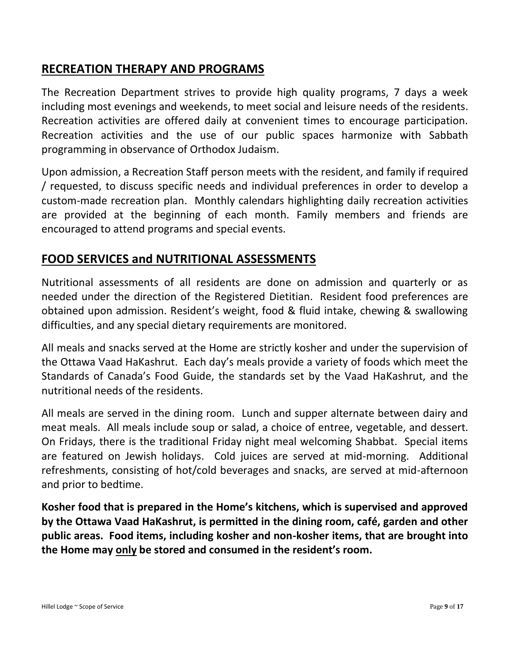## **RECREATION THERAPY AND PROGRAMS**

The Recreation Department strives to provide high quality programs, 7 days a week including most evenings and weekends, to meet social and leisure needs of the residents. Recreation activities are offered daily at convenient times to encourage participation. Recreation activities and the use of our public spaces harmonize with Sabbath programming in observance of Orthodox Judaism.

Upon admission, a Recreation Staff person meets with the resident, and family if required / requested, to discuss specific needs and individual preferences in order to develop a custom-made recreation plan. Monthly calendars highlighting daily recreation activities are provided at the beginning of each month. Family members and friends are encouraged to attend programs and special events.

## **FOOD SERVICES and NUTRITIONAL ASSESSMENTS**

Nutritional assessments of all residents are done on admission and quarterly or as needed under the direction of the Registered Dietitian. Resident food preferences are obtained upon admission. Resident's weight, food & fluid intake, chewing & swallowing difficulties, and any special dietary requirements are monitored.

All meals and snacks served at the Home are strictly kosher and under the supervision of the Ottawa Vaad HaKashrut. Each day's meals provide a variety of foods which meet the Standards of Canada's Food Guide, the standards set by the Vaad HaKashrut, and the nutritional needs of the residents.

All meals are served in the dining room. Lunch and supper alternate between dairy and meat meals. All meals include soup or salad, a choice of entree, vegetable, and dessert. On Fridays, there is the traditional Friday night meal welcoming Shabbat. Special items are featured on Jewish holidays. Cold juices are served at mid-morning. Additional refreshments, consisting of hot/cold beverages and snacks, are served at mid-afternoon and prior to bedtime.

**Kosher food that is prepared in the Home's kitchens, which is supervised and approved by the Ottawa Vaad HaKashrut, is permitted in the dining room, café, garden and other public areas. Food items, including kosher and non-kosher items, that are brought into the Home may only be stored and consumed in the resident's room.**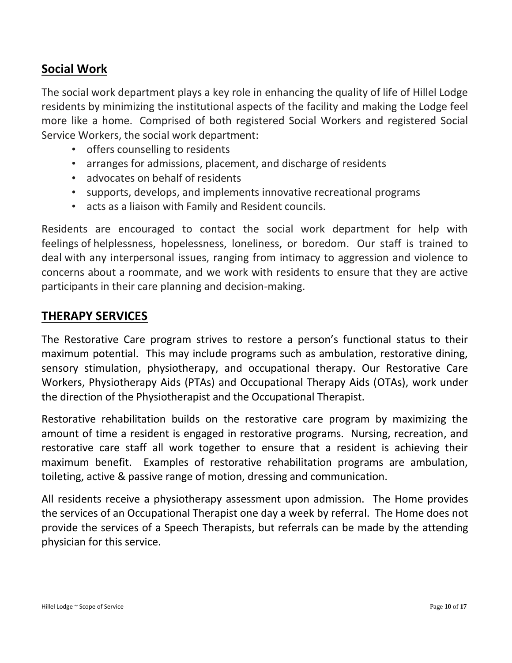# **Social Work**

The social work department plays a key role in enhancing the quality of life of Hillel Lodge residents by minimizing the institutional aspects of the facility and making the Lodge feel more like a home. Comprised of both registered Social Workers and registered Social Service Workers, the social work department:

- offers counselling to residents
- arranges for admissions, placement, and discharge of residents
- advocates on behalf of residents
- supports, develops, and implements innovative recreational programs
- acts as a liaison with Family and Resident councils.

Residents are encouraged to contact the social work department for help with feelings of helplessness, hopelessness, loneliness, or boredom. Our staff is trained to deal with any interpersonal issues, ranging from intimacy to aggression and violence to concerns about a roommate, and we work with residents to ensure that they are active participants in their care planning and decision-making.

# **THERAPY SERVICES**

The Restorative Care program strives to restore a person's functional status to their maximum potential. This may include programs such as ambulation, restorative dining, sensory stimulation, physiotherapy, and occupational therapy. Our Restorative Care Workers, Physiotherapy Aids (PTAs) and Occupational Therapy Aids (OTAs), work under the direction of the Physiotherapist and the Occupational Therapist.

Restorative rehabilitation builds on the restorative care program by maximizing the amount of time a resident is engaged in restorative programs. Nursing, recreation, and restorative care staff all work together to ensure that a resident is achieving their maximum benefit. Examples of restorative rehabilitation programs are ambulation, toileting, active & passive range of motion, dressing and communication.

All residents receive a physiotherapy assessment upon admission. The Home provides the services of an Occupational Therapist one day a week by referral. The Home does not provide the services of a Speech Therapists, but referrals can be made by the attending physician for this service.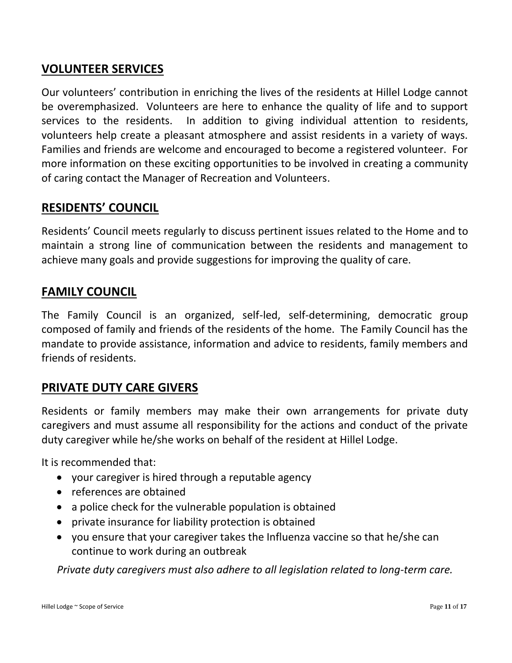# **VOLUNTEER SERVICES**

Our volunteers' contribution in enriching the lives of the residents at Hillel Lodge cannot be overemphasized. Volunteers are here to enhance the quality of life and to support services to the residents. In addition to giving individual attention to residents, volunteers help create a pleasant atmosphere and assist residents in a variety of ways. Families and friends are welcome and encouraged to become a registered volunteer. For more information on these exciting opportunities to be involved in creating a community of caring contact the Manager of Recreation and Volunteers.

## **RESIDENTS' COUNCIL**

Residents' Council meets regularly to discuss pertinent issues related to the Home and to maintain a strong line of communication between the residents and management to achieve many goals and provide suggestions for improving the quality of care.

## **FAMILY COUNCIL**

The Family Council is an organized, self-led, self-determining, democratic group composed of family and friends of the residents of the home. The Family Council has the mandate to provide assistance, information and advice to residents, family members and friends of residents.

# **PRIVATE DUTY CARE GIVERS**

Residents or family members may make their own arrangements for private duty caregivers and must assume all responsibility for the actions and conduct of the private duty caregiver while he/she works on behalf of the resident at Hillel Lodge.

It is recommended that:

- your caregiver is hired through a reputable agency
- references are obtained
- a police check for the vulnerable population is obtained
- private insurance for liability protection is obtained
- you ensure that your caregiver takes the Influenza vaccine so that he/she can continue to work during an outbreak

*Private duty caregivers must also adhere to all legislation related to long-term care.*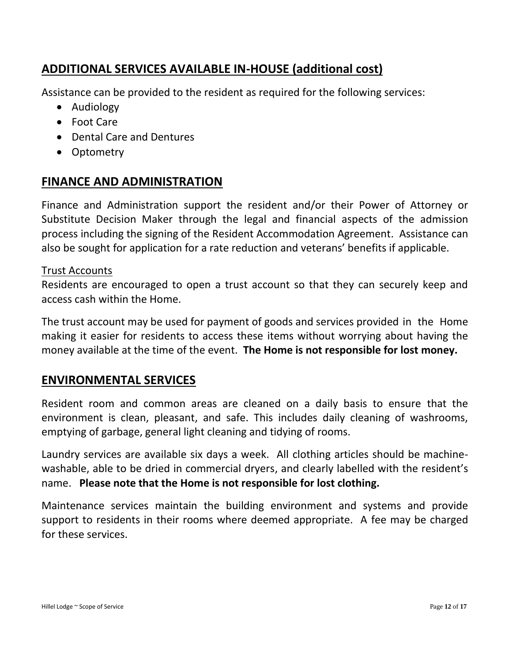# **ADDITIONAL SERVICES AVAILABLE IN-HOUSE (additional cost)**

Assistance can be provided to the resident as required for the following services:

- Audiology
- Foot Care
- Dental Care and Dentures
- Optometry

## **FINANCE AND ADMINISTRATION**

Finance and Administration support the resident and/or their Power of Attorney or Substitute Decision Maker through the legal and financial aspects of the admission process including the signing of the Resident Accommodation Agreement. Assistance can also be sought for application for a rate reduction and veterans' benefits if applicable.

#### Trust Accounts

Residents are encouraged to open a trust account so that they can securely keep and access cash within the Home.

The trust account may be used for payment of goods and services provided in the Home making it easier for residents to access these items without worrying about having the money available at the time of the event. **The Home is not responsible for lost money.**

#### **ENVIRONMENTAL SERVICES**

Resident room and common areas are cleaned on a daily basis to ensure that the environment is clean, pleasant, and safe. This includes daily cleaning of washrooms, emptying of garbage, general light cleaning and tidying of rooms.

Laundry services are available six days a week. All clothing articles should be machinewashable, able to be dried in commercial dryers, and clearly labelled with the resident's name. **Please note that the Home is not responsible for lost clothing.**

Maintenance services maintain the building environment and systems and provide support to residents in their rooms where deemed appropriate. A fee may be charged for these services.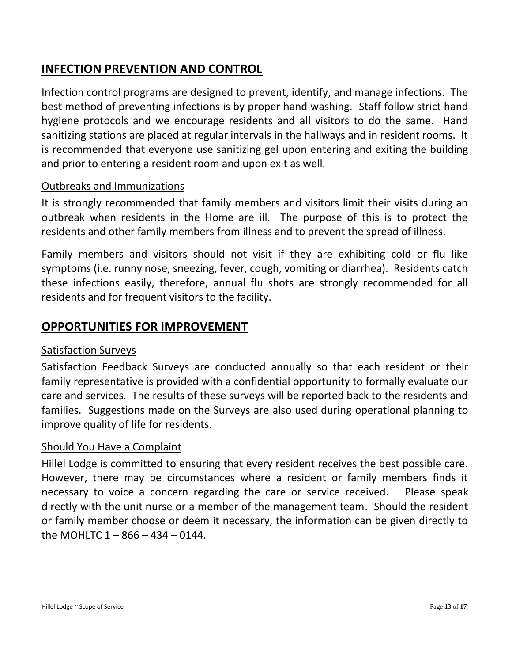# **INFECTION PREVENTION AND CONTROL**

Infection control programs are designed to prevent, identify, and manage infections. The best method of preventing infections is by proper hand washing. Staff follow strict hand hygiene protocols and we encourage residents and all visitors to do the same. Hand sanitizing stations are placed at regular intervals in the hallways and in resident rooms. It is recommended that everyone use sanitizing gel upon entering and exiting the building and prior to entering a resident room and upon exit as well.

#### Outbreaks and Immunizations

It is strongly recommended that family members and visitors limit their visits during an outbreak when residents in the Home are ill. The purpose of this is to protect the residents and other family members from illness and to prevent the spread of illness.

Family members and visitors should not visit if they are exhibiting cold or flu like symptoms (i.e. runny nose, sneezing, fever, cough, vomiting or diarrhea). Residents catch these infections easily, therefore, annual flu shots are strongly recommended for all residents and for frequent visitors to the facility.

### **OPPORTUNITIES FOR IMPROVEMENT**

#### Satisfaction Surveys

Satisfaction Feedback Surveys are conducted annually so that each resident or their family representative is provided with a confidential opportunity to formally evaluate our care and services. The results of these surveys will be reported back to the residents and families. Suggestions made on the Surveys are also used during operational planning to improve quality of life for residents.

#### Should You Have a Complaint

Hillel Lodge is committed to ensuring that every resident receives the best possible care. However, there may be circumstances where a resident or family members finds it necessary to voice a concern regarding the care or service received. Please speak directly with the unit nurse or a member of the management team. Should the resident or family member choose or deem it necessary, the information can be given directly to the MOHLTC  $1 - 866 - 434 - 0144$ .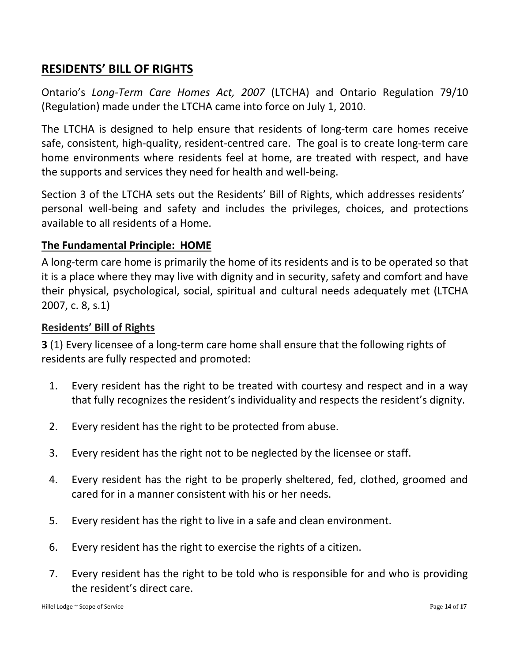# **RESIDENTS' BILL OF RIGHTS**

Ontario 's *Long-Term Care Homes Act, 2007* (LTCHA) and Ontario Regulation 79/10 (Regulation) made under the LTCHA came into force on July 1, 2010.

The LTCHA is designed to help ensure that residents of long-term care homes receive safe, consistent, high-quality, resident-centred care. The goal is to create long-term care home environments where residents feel at home, are treated with respect, and have the supports and services they need for health and well-being.

Section 3 of the LTCHA sets out the Residents' Bill of Rights, which addresses residents' personal well-being and safety and includes the privileges, choices, and protections available to all residents of a Home.

#### **The Fundamental Principle: HOME**

A long-term care home is primarily the home of its residents and is to be operated so that it is a place where they may live with dignity and in security, safety and comfort and have their physical, psychological, social, spiritual and cultural needs adequately met (LTCHA 2007, c. 8, s.1)

#### **Residents' Bill of Rights**

**3** (1) Every licensee of a long-term care home shall ensure that the following rights of residents are fully respected and promoted:

- 1. Every resident has the right to be treated with courtesy and respect and in a way that fully recognizes the resident's individuality and respects the resident's dignity.
- 2. Every resident has the right to be protected from abuse.
- 3. Every resident has the right not to be neglected by the licensee or staff.
- 4. Every resident has the right to be properly sheltered, fed, clothed, groomed and cared for in a manner consistent with his or her needs.
- 5. Every resident has the right to live in a safe and clean environment.
- 6. Every resident has the right to exercise the rights of a citizen.
- 7. Every resident has the right to be told who is responsible for and who is providing the resident's direct care.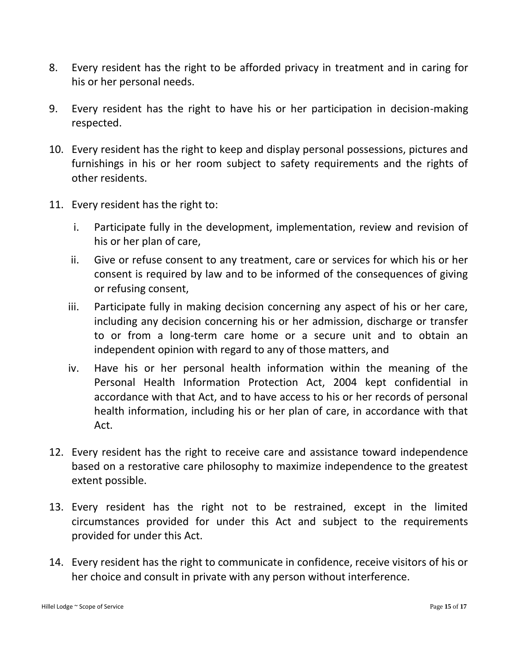- 8. Every resident has the right to be afforded privacy in treatment and in caring for his or her personal needs.
- 9. Every resident has the right to have his or her participation in decision-making respected.
- 10. Every resident has the right to keep and display personal possessions, pictures and furnishings in his or her room subject to safety requirements and the rights of other residents.
- 11. Every resident has the right to:
	- i. Participate fully in the development, implementation, review and revision of his or her plan of care,
	- ii. Give or refuse consent to any treatment, care or services for which his or her consent is required by law and to be informed of the consequences of giving or refusing consent,
	- iii. Participate fully in making decision concerning any aspect of his or her care, including any decision concerning his or her admission, discharge or transfer to or from a long-term care home or a secure unit and to obtain an independent opinion with regard to any of those matters, and
	- iv. Have his or her personal health information within the meaning of the Personal Health Information Protection Act, 2004 kept confidential in accordance with that Act, and to have access to his or her records of personal health information, including his or her plan of care, in accordance with that Act.
- 12. Every resident has the right to receive care and assistance toward independence based on a restorative care philosophy to maximize independence to the greatest extent possible.
- 13. Every resident has the right not to be restrained, except in the limited circumstances provided for under this Act and subject to the requirements provided for under this Act.
- 14. Every resident has the right to communicate in confidence, receive visitors of his or her choice and consult in private with any person without interference.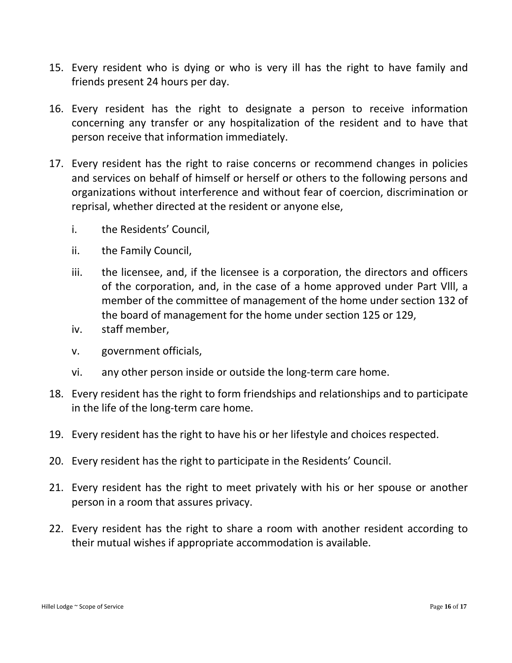- 15. Every resident who is dying or who is very ill has the right to have family and friends present 24 hours per day.
- 16. Every resident has the right to designate a person to receive information concerning any transfer or any hospitalization of the resident and to have that person receive that information immediately.
- 17. Every resident has the right to raise concerns or recommend changes in policies and services on behalf of himself or herself or others to the following persons and organizations without interference and without fear of coercion, discrimination or reprisal, whether directed at the resident or anyone else,
	- i. the Residents' Council,
	- ii. the Family Council,
	- iii. the licensee, and, if the licensee is a corporation, the directors and officers of the corporation, and, in the case of a home approved under Part Vlll, a member of the committee of management of the home under section 132 of the board of management for the home under section 125 or 129,
	- iv. staff member,
	- v. government officials,
	- vi. any other person inside or outside the long-term care home.
- 18. Every resident has the right to form friendships and relationships and to participate in the life of the long-term care home.
- 19. Every resident has the right to have his or her lifestyle and choices respected.
- 20. Every resident has the right to participate in the Residents' Council.
- 21. Every resident has the right to meet privately with his or her spouse or another person in a room that assures privacy.
- 22. Every resident has the right to share a room with another resident according to their mutual wishes if appropriate accommodation is available.